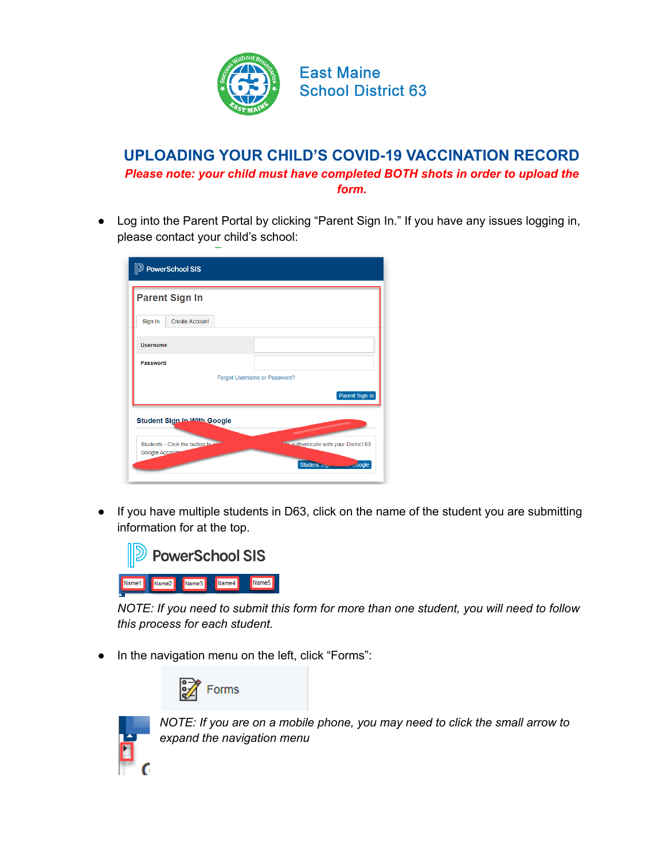

## **UPLOADING YOUR CHILD'S COVID-19 VACCINATION RECORD** *Please note: your child must have completed BOTH shots in order to upload the form.*

● Log into the Parent Portal by clicking "Parent Sign In." If you have any issues logging in, please contact your child's school:

| <b>Parent Sign In</b>              |  |                                                                                                                                                                                                                                      |  |  |  |
|------------------------------------|--|--------------------------------------------------------------------------------------------------------------------------------------------------------------------------------------------------------------------------------------|--|--|--|
| Sign In<br>Create Account          |  |                                                                                                                                                                                                                                      |  |  |  |
| <b>Username</b>                    |  |                                                                                                                                                                                                                                      |  |  |  |
| Password                           |  |                                                                                                                                                                                                                                      |  |  |  |
| Forgot Username or Password?       |  |                                                                                                                                                                                                                                      |  |  |  |
|                                    |  | Parent Sign In                                                                                                                                                                                                                       |  |  |  |
| <b>Student Sign In With Google</b> |  | <u>the contract of the contract of the contract of the contract of the contract of the contract of the contract of the contract of the contract of the contract of the contract of the contract of the contract of the contract </u> |  |  |  |
| Students - Click the button to air |  | <b>The authenticate with your District 63</b>                                                                                                                                                                                        |  |  |  |

● If you have multiple students in D63, click on the name of the student you are submitting information for at the top.



*NOTE: If you need to submit this form for more than one student, you will need to follow this process for each student.*

● In the navigation menu on the left, click "Forms":





*NOTE: If you are on a mobile phone, you may need to click the small arrow to expand the navigation menu*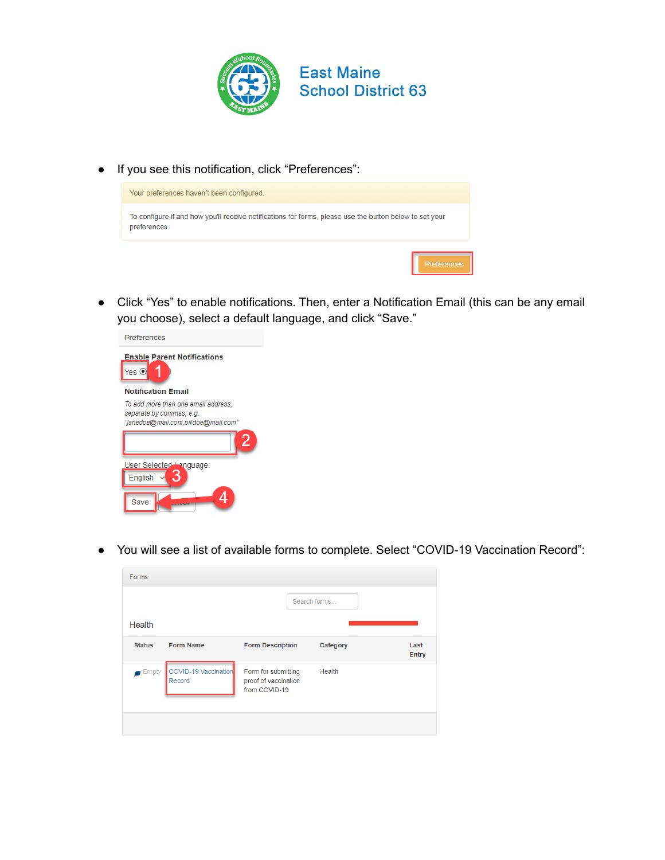

● If you see this notification, click "Preferences":



● Click "Yes" to enable notifications. Then, enter a Notification Email (this can be any email you choose), select a default language, and click "Save."



● You will see a list of available forms to complete. Select "COVID-19 Vaccination Record":

| Forms         |                                |                                                               |          |               |
|---------------|--------------------------------|---------------------------------------------------------------|----------|---------------|
|               |                                | Search forms                                                  |          |               |
| Health        |                                |                                                               |          |               |
| <b>Status</b> | <b>Form Name</b>               | <b>Form Description</b>                                       | Category | Last<br>Entry |
| Empty         | COVID-19 Vaccination<br>Record | Form for submitting<br>proof of vaccination<br>from COVID-19. | Health   |               |
|               |                                |                                                               |          |               |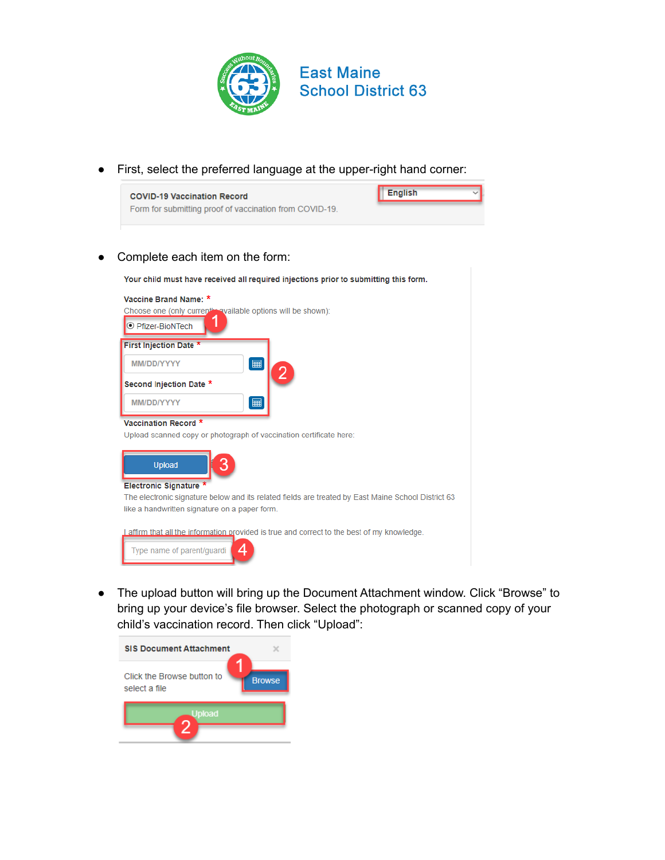

● First, select the preferred language at the upper-right hand corner:



Complete each item on the form:



● The upload button will bring up the Document Attachment window. Click "Browse" to bring up your device's file browser. Select the photograph or scanned copy of your child's vaccination record. Then click "Upload":

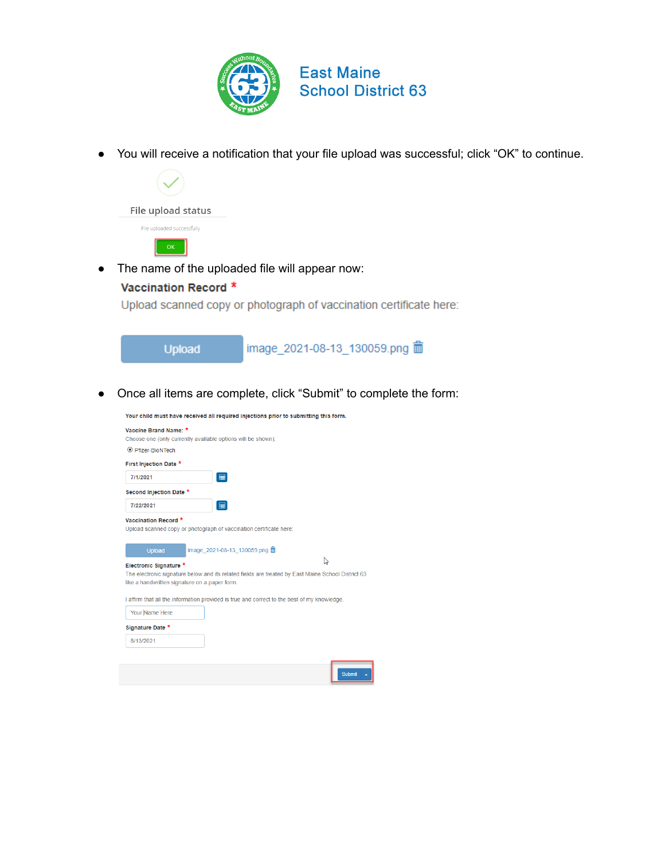

● You will receive a notification that your file upload was successful; click "OK" to continue.



• The name of the uploaded file will appear now:

## Vaccination Record \*

Upload scanned copy or photograph of vaccination certificate here:



● Once all items are complete, click "Submit" to complete the form:

Your child must have received all required injections prior to submitting this form. Vaccine Brand Name: \* Choose one (only currently available options will be shown):  $\odot$  Pfizer-BioNTech First Injection Date \* 7/1/2021 Second Injection Date \* 7/22/2021  $\mathbf{m}$ Vaccination Record \* Upload scanned copy or photograph of vaccination certificate here: mage\_2021-08-13\_130059.png m  $\mathbb{P}$ Electronic Signature \* The electronic signature below and its related fields are treated by East Maine School District 63 like a handwritten signature on a paper form. I affirm that all the information provided is true and correct to the best of my knowledge. Your Name Here Signature Date \* 8/13/2021